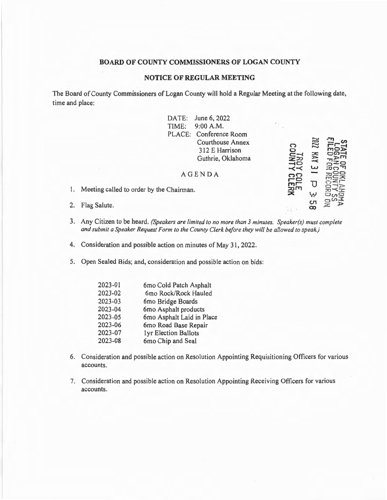## **BOARD OF COUNTY COMMISSIONERS OF LOGAN COUNTY**

## **NOTICE OF REGULAR MEETING**

The Board of County Commissioners of Logan County will hold a Regular Meeting at the following date, time and place:

|    | June 6, 2022<br>DATE:<br>$\mathbf{A}^{\mathcal{A}}$ .<br>TIME:<br>9:00 A.M.<br>PLACE: Conference Room<br><b>Courthouse Annex</b><br>312 E Harrison<br>Guthrie, Oklahoma<br><b>AGENDA</b> |  | 2202<br>NA. |  |
|----|------------------------------------------------------------------------------------------------------------------------------------------------------------------------------------------|--|-------------|--|
|    | 1. Meeting called to order by the Chairman.                                                                                                                                              |  | ىيا         |  |
| 2. | Flag Salute.                                                                                                                                                                             |  | cл<br>œ     |  |

- 3. Any Citizen to be heard. *(Speakers are limited to no more than 3 minutes. Speaker(s) must complete and submit a Speaker Request Form to the County Clerk before they will be allowed to speak.)*
- 4. Consideration and possible action on minutes of May 31, 2022.

5. Open Sealed Bids; and, consideration and possible action on bids:

| 2023-01 | 6mo Cold Patch Asphalt    |
|---------|---------------------------|
| 2023-02 | 6mo Rock/Rock Hauled      |
| 2023-03 | 6mo Bridge Boards         |
| 2023-04 | 6mo Asphalt products      |
| 2023-05 | 6mo Asphalt Laid in Place |
| 2023-06 | 6mo Road Base Repair      |
| 2023-07 | lyr Election Ballots      |
| 2023-08 | 6mo Chip and Seal         |

- 6. Consideration and possible action on Resolution Appointing Requisitioning Officers for various accounts.
- 7. Consideration and possible action on Resolution Appointing Receiving Officers for various accounts.